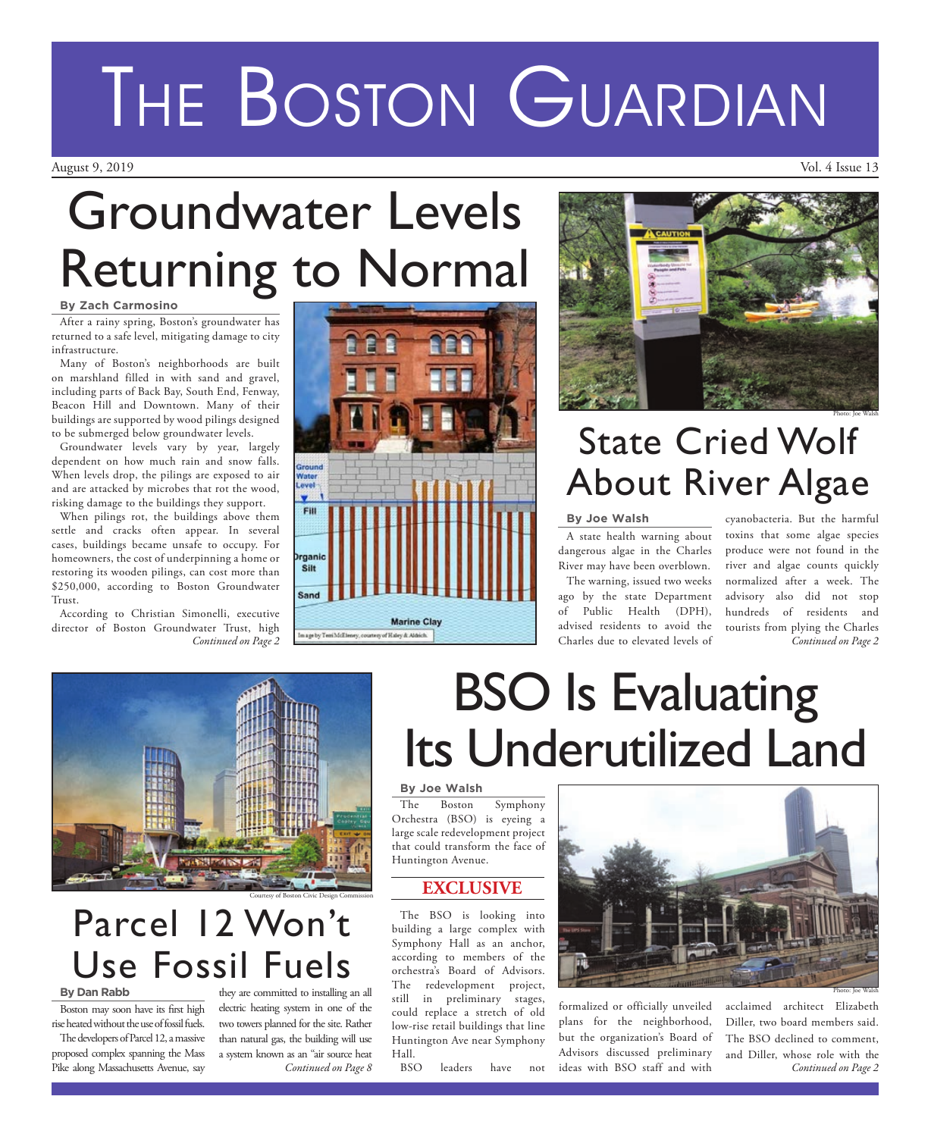## **By Zach Carmosino** Groundwater Levels Returning to Normal

## After a rainy spring, Boston's groundwater has returned to a safe level, mitigating damage to city infrastructure.

Many of Boston's neighborhoods are built on marshland filled in with sand and gravel, including parts of Back Bay, South End, Fenway, Beacon Hill and Downtown. Many of their buildings are supported by wood pilings designed to be submerged below groundwater levels.

Groundwater levels vary by year, largely dependent on how much rain and snow falls. When levels drop, the pilings are exposed to air and are attacked by microbes that rot the wood, risking damage to the buildings they support.

When pilings rot, the buildings above them settle and cracks often appear. In several cases, buildings became unsafe to occupy. For homeowners, the cost of underpinning a home or restoring its wooden pilings, can cost more than \$250,000, according to Boston Groundwater Trust.

According to Christian Simonelli, executive director of Boston Groundwater Trust, high *Continued on Page 2*